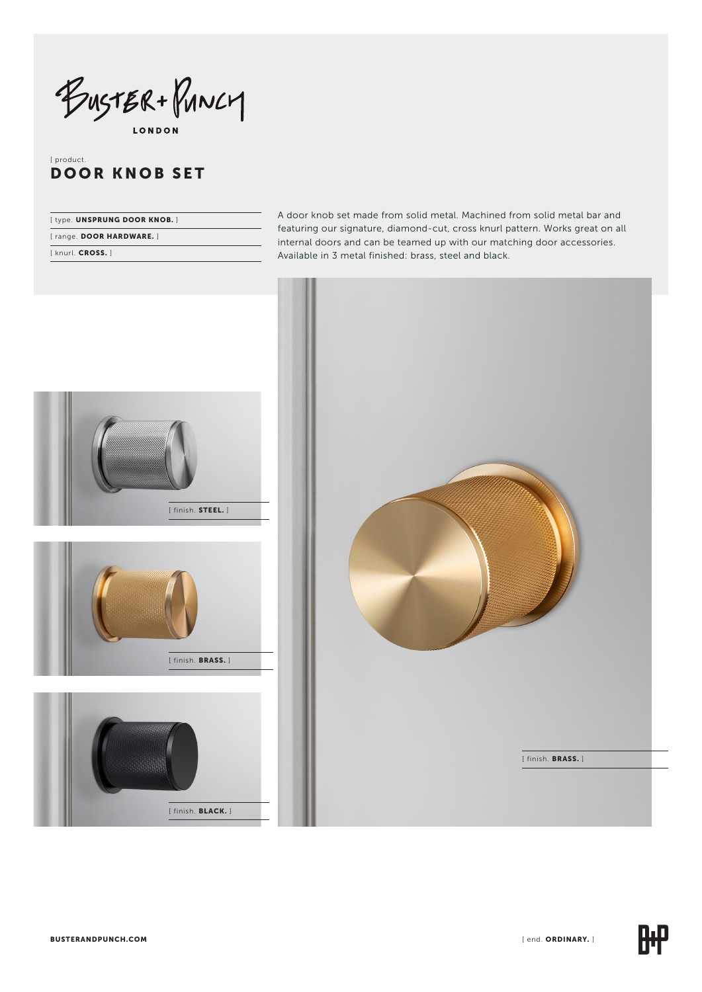BUSTER + PUNCY

# [ product. DOOR KNOB SET

| [type. UNSPRUNG DOOR KNOB.] |
|-----------------------------|
| [range. DOOR HARDWARE.]     |
| [knurl. CROSS.]             |

A door knob set made from solid metal. Machined from solid metal bar and featuring our signature, diamond-cut, cross knurl pattern. Works great on all internal doors and can be teamed up with our matching door accessories. Available in 3 metal finished: brass, steel and black.